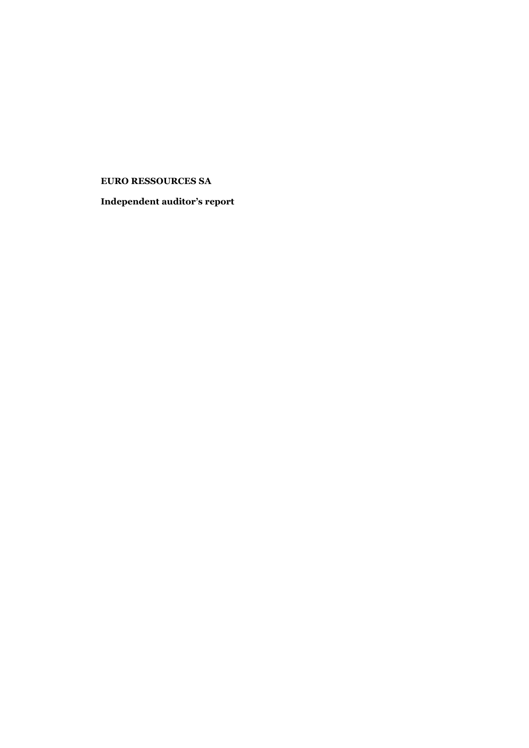# **EURO RESSOURCES SA**

**Independent auditor's report**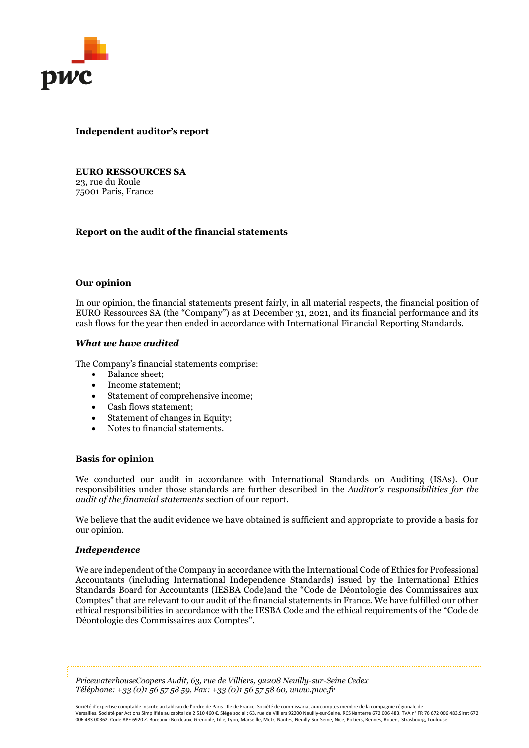

## **Independent auditor's report**

**EURO RESSOURCES SA** 23, rue du Roule 75001 Paris, France

## **Report on the audit of the financial statements**

#### **Our opinion**

In our opinion, the financial statements present fairly, in all material respects, the financial position of EURO Ressources SA (the "Company") as at December 31, 2021, and its financial performance and its cash flows for the year then ended in accordance with International Financial Reporting Standards.

## *What we have audited*

The Company's financial statements comprise:

- Balance sheet;
- Income statement;
- Statement of comprehensive income;
- Cash flows statement;
- Statement of changes in Equity;
- Notes to financial statements.

#### **Basis for opinion**

We conducted our audit in accordance with International Standards on Auditing (ISAs). Our responsibilities under those standards are further described in the *Auditor's responsibilities for the audit of the financial statements* section of our report.

We believe that the audit evidence we have obtained is sufficient and appropriate to provide a basis for our opinion.

#### *Independence*

We are independent of the Company in accordance with the International Code of Ethics for Professional Accountants (including International Independence Standards) issued by the International Ethics Standards Board for Accountants (IESBA Code)and the "Code de Déontologie des Commissaires aux Comptes" that are relevant to our audit of the financial statements in France. We have fulfilled our other ethical responsibilities in accordance with the IESBA Code and the ethical requirements of the "Code de Déontologie des Commissaires aux Comptes".

*PricewaterhouseCoopers Audit, 63, rue de Villiers, 92208 Neuilly-sur-Seine Cedex Téléphone: +33 (0)1 56 57 58 59, Fax: +33 (0)1 56 57 58 60, www.pwc.fr*

Société d'expertise comptable inscrite au tableau de l'ordre de Paris - Ile de France. Société de commissariat aux comptes membre de la compagnie régionale de Versailles. Société par Actions Simplifiée au capital de 2 510 460 €. Siège social : 63, rue de Villiers 92200 Neuilly-sur-Seine. RCS Nanterre 672 006 483. TVA n° FR 76 672 006 483.Siret 672 006 483 00362. Code APE 6920 Z. Bureaux : Bordeaux, Grenoble, Lille, Lyon, Marseille, Metz, Nantes, Neuilly-Sur-Seine, Nice, Poitiers, Rennes, Rouen, Strasbourg, Toulouse.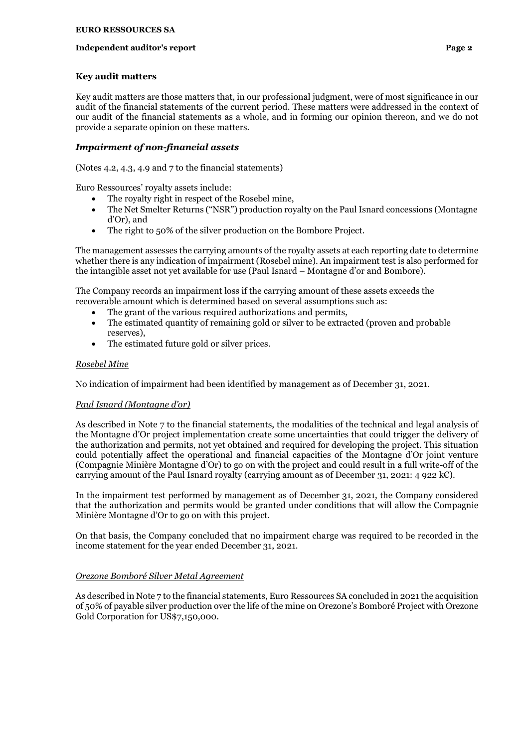### **Independent auditor's report Page 2 Page 2**

### **Key audit matters**

Key audit matters are those matters that, in our professional judgment, were of most significance in our audit of the financial statements of the current period. These matters were addressed in the context of our audit of the financial statements as a whole, and in forming our opinion thereon, and we do not provide a separate opinion on these matters.

# *Impairment of non-financial assets*

(Notes 4.2, 4.3, 4.9 and 7 to the financial statements)

Euro Ressources' royalty assets include:

- The royalty right in respect of the Rosebel mine,
- The Net Smelter Returns ("NSR") production royalty on the Paul Isnard concessions (Montagne d'Or), and
- The right to 50% of the silver production on the Bombore Project.

The management assesses the carrying amounts of the royalty assets at each reporting date to determine whether there is any indication of impairment (Rosebel mine). An impairment test is also performed for the intangible asset not yet available for use (Paul Isnard – Montagne d'or and Bombore).

The Company records an impairment loss if the carrying amount of these assets exceeds the recoverable amount which is determined based on several assumptions such as:

- The grant of the various required authorizations and permits,
- The estimated quantity of remaining gold or silver to be extracted (proven and probable reserves),
- The estimated future gold or silver prices.

# *Rosebel Mine*

No indication of impairment had been identified by management as of December 31, 2021.

# *Paul Isnard (Montagne d'or)*

As described in Note 7 to the financial statements, the modalities of the technical and legal analysis of the Montagne d'Or project implementation create some uncertainties that could trigger the delivery of the authorization and permits, not yet obtained and required for developing the project. This situation could potentially affect the operational and financial capacities of the Montagne d'Or joint venture (Compagnie Minière Montagne d'Or) to go on with the project and could result in a full write-off of the carrying amount of the Paul Isnard royalty (carrying amount as of December 31, 2021: 4 922 k€).

In the impairment test performed by management as of December 31, 2021, the Company considered that the authorization and permits would be granted under conditions that will allow the Compagnie Minière Montagne d'Or to go on with this project.

On that basis, the Company concluded that no impairment charge was required to be recorded in the income statement for the year ended December 31, 2021.

# *Orezone Bomboré Silver Metal Agreement*

As described in Note 7 to the financial statements, Euro Ressources SA concluded in 2021 the acquisition of 50% of payable silver production over the life of the mine on Orezone's Bomboré Project with Orezone Gold Corporation for US\$7,150,000.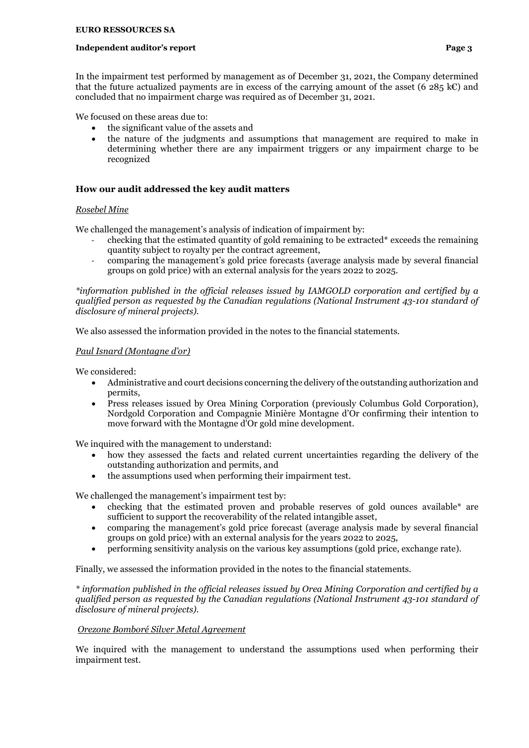#### **Independent auditor's report Page 3**

In the impairment test performed by management as of December 31, 2021, the Company determined that the future actualized payments are in excess of the carrying amount of the asset (6 285 k€) and concluded that no impairment charge was required as of December 31, 2021.

We focused on these areas due to:

- the significant value of the assets and
- the nature of the judgments and assumptions that management are required to make in determining whether there are any impairment triggers or any impairment charge to be recognized

# **How our audit addressed the key audit matters**

# *Rosebel Mine*

We challenged the management's analysis of indication of impairment by:

- checking that the estimated quantity of gold remaining to be extracted\* exceeds the remaining quantity subject to royalty per the contract agreement,
- comparing the management's gold price forecasts (average analysis made by several financial groups on gold price) with an external analysis for the years 2022 to 2025.

*\*information published in the official releases issued by IAMGOLD corporation and certified by a qualified person as requested by the Canadian regulations (National Instrument 43-101 standard of disclosure of mineral projects).*

We also assessed the information provided in the notes to the financial statements.

## *Paul Isnard (Montagne d'or)*

We considered:

- Administrative and court decisions concerning the delivery of the outstanding authorization and permits,
- Press releases issued by Orea Mining Corporation (previously Columbus Gold Corporation), Nordgold Corporation and Compagnie Minière Montagne d'Or confirming their intention to move forward with the Montagne d'Or gold mine development.

We inquired with the management to understand:

- how they assessed the facts and related current uncertainties regarding the delivery of the outstanding authorization and permits, and
- the assumptions used when performing their impairment test.

We challenged the management's impairment test by:

- checking that the estimated proven and probable reserves of gold ounces available\* are sufficient to support the recoverability of the related intangible asset,
- comparing the management's gold price forecast (average analysis made by several financial groups on gold price) with an external analysis for the years 2022 to 2025,
- performing sensitivity analysis on the various key assumptions (gold price, exchange rate).

Finally, we assessed the information provided in the notes to the financial statements.

*\* information published in the official releases issued by Orea Mining Corporation and certified by a qualified person as requested by the Canadian regulations (National Instrument 43-101 standard of disclosure of mineral projects).*

# *Orezone Bomboré Silver Metal Agreement*

We inquired with the management to understand the assumptions used when performing their impairment test.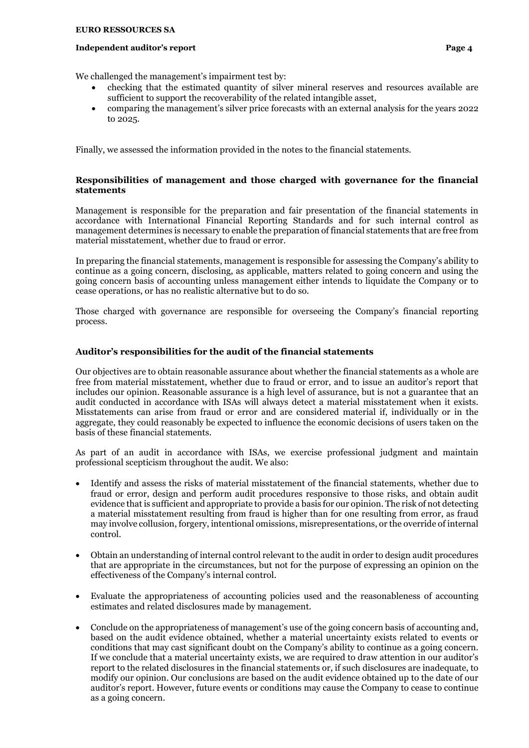#### **Independent auditor's report Page 4 Page 4 Page 4**

We challenged the management's impairment test by:

- checking that the estimated quantity of silver mineral reserves and resources available are sufficient to support the recoverability of the related intangible asset,
- comparing the management's silver price forecasts with an external analysis for the years 2022 to 2025.

Finally, we assessed the information provided in the notes to the financial statements.

# **Responsibilities of management and those charged with governance for the financial statements**

Management is responsible for the preparation and fair presentation of the financial statements in accordance with International Financial Reporting Standards and for such internal control as management determines is necessary to enable the preparation of financial statements that are free from material misstatement, whether due to fraud or error.

In preparing the financial statements, management is responsible for assessing the Company's ability to continue as a going concern, disclosing, as applicable, matters related to going concern and using the going concern basis of accounting unless management either intends to liquidate the Company or to cease operations, or has no realistic alternative but to do so.

Those charged with governance are responsible for overseeing the Company's financial reporting process.

# **Auditor's responsibilities for the audit of the financial statements**

Our objectives are to obtain reasonable assurance about whether the financial statements as a whole are free from material misstatement, whether due to fraud or error, and to issue an auditor's report that includes our opinion. Reasonable assurance is a high level of assurance, but is not a guarantee that an audit conducted in accordance with ISAs will always detect a material misstatement when it exists. Misstatements can arise from fraud or error and are considered material if, individually or in the aggregate, they could reasonably be expected to influence the economic decisions of users taken on the basis of these financial statements.

As part of an audit in accordance with ISAs, we exercise professional judgment and maintain professional scepticism throughout the audit. We also:

- Identify and assess the risks of material misstatement of the financial statements, whether due to fraud or error, design and perform audit procedures responsive to those risks, and obtain audit evidence that is sufficient and appropriate to provide a basis for our opinion. The risk of not detecting a material misstatement resulting from fraud is higher than for one resulting from error, as fraud may involve collusion, forgery, intentional omissions, misrepresentations, or the override of internal control.
- Obtain an understanding of internal control relevant to the audit in order to design audit procedures that are appropriate in the circumstances, but not for the purpose of expressing an opinion on the effectiveness of the Company's internal control.
- Evaluate the appropriateness of accounting policies used and the reasonableness of accounting estimates and related disclosures made by management.
- Conclude on the appropriateness of management's use of the going concern basis of accounting and, based on the audit evidence obtained, whether a material uncertainty exists related to events or conditions that may cast significant doubt on the Company's ability to continue as a going concern. If we conclude that a material uncertainty exists, we are required to draw attention in our auditor's report to the related disclosures in the financial statements or, if such disclosures are inadequate, to modify our opinion. Our conclusions are based on the audit evidence obtained up to the date of our auditor's report. However, future events or conditions may cause the Company to cease to continue as a going concern.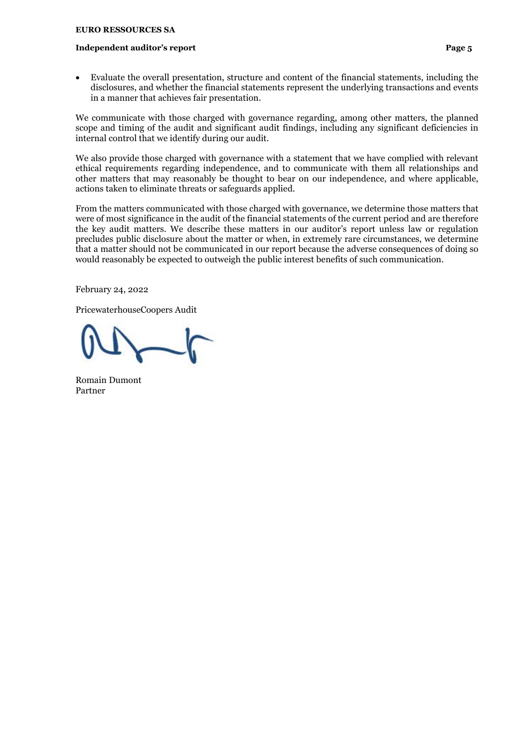#### **Independent auditor's report Page 5**

• Evaluate the overall presentation, structure and content of the financial statements, including the disclosures, and whether the financial statements represent the underlying transactions and events in a manner that achieves fair presentation.

We communicate with those charged with governance regarding, among other matters, the planned scope and timing of the audit and significant audit findings, including any significant deficiencies in internal control that we identify during our audit.

We also provide those charged with governance with a statement that we have complied with relevant ethical requirements regarding independence, and to communicate with them all relationships and other matters that may reasonably be thought to bear on our independence, and where applicable, actions taken to eliminate threats or safeguards applied.

From the matters communicated with those charged with governance, we determine those matters that were of most significance in the audit of the financial statements of the current period and are therefore the key audit matters. We describe these matters in our auditor's report unless law or regulation precludes public disclosure about the matter or when, in extremely rare circumstances, we determine that a matter should not be communicated in our report because the adverse consequences of doing so would reasonably be expected to outweigh the public interest benefits of such communication.

February 24, 2022

PricewaterhouseCoopers Audit

Romain Dumont Partner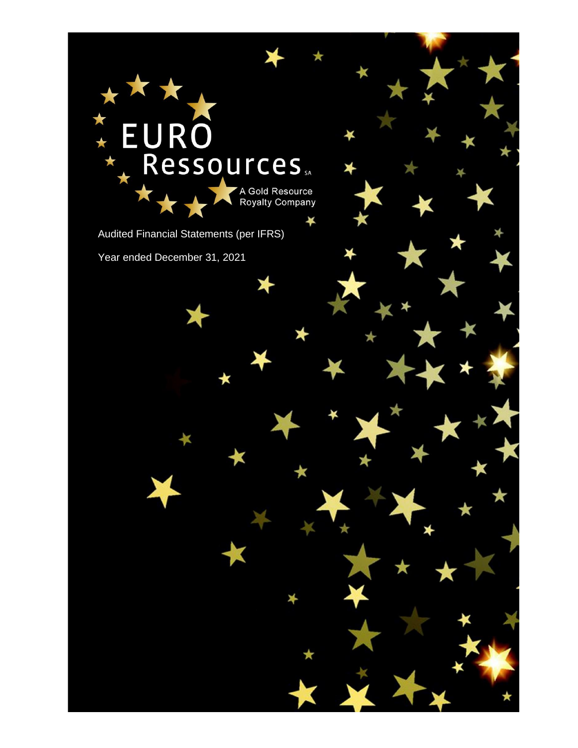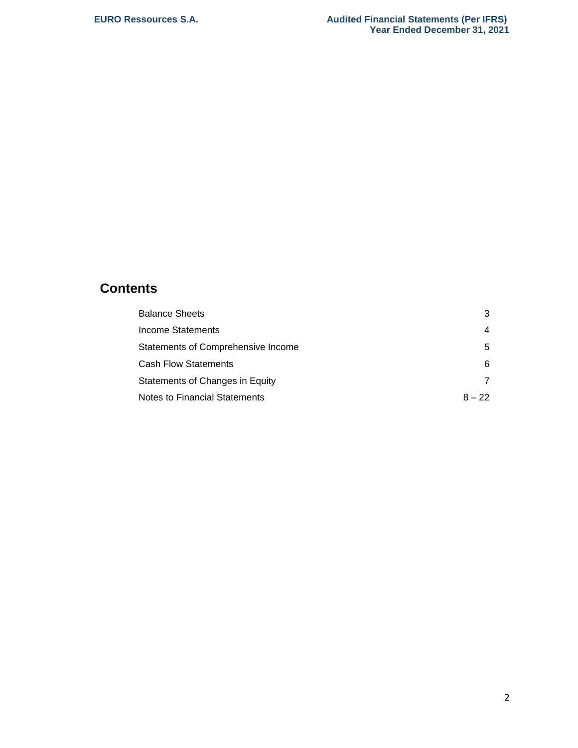# **Contents**

| <b>Balance Sheets</b>              | 3        |
|------------------------------------|----------|
| Income Statements                  | 4        |
| Statements of Comprehensive Income | 5        |
| <b>Cash Flow Statements</b>        | 6        |
| Statements of Changes in Equity    | 7        |
| Notes to Financial Statements      | $8 - 22$ |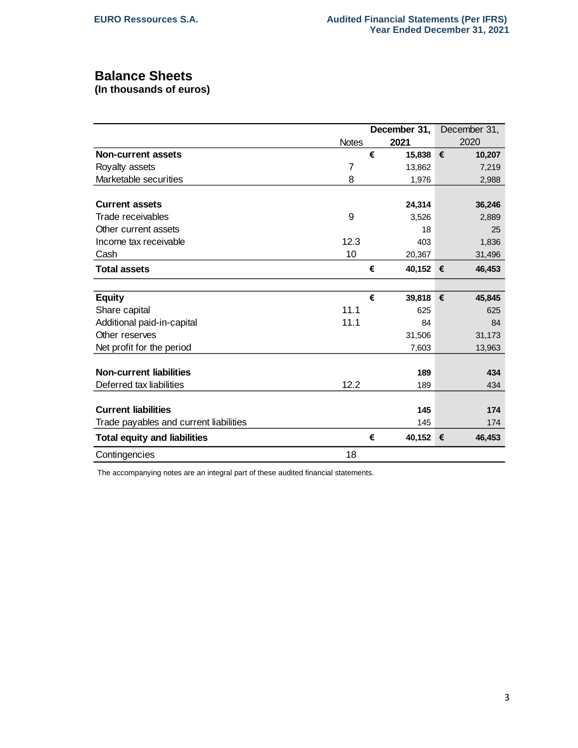# **Balance Sheets**

**(In thousands of euros)**

|                                        |              |   | December 31, |   | December 31, |
|----------------------------------------|--------------|---|--------------|---|--------------|
|                                        | <b>Notes</b> |   | 2021         |   | 2020         |
| <b>Non-current assets</b>              |              | € | 15,838 €     |   | 10,207       |
| Royalty assets                         | 7            |   | 13,862       |   | 7,219        |
| Marketable securities                  | 8            |   | 1,976        |   | 2,988        |
| <b>Current assets</b>                  |              |   | 24,314       |   | 36,246       |
| Trade receivables                      | 9            |   | 3,526        |   | 2,889        |
| Other current assets                   |              |   | 18           |   | 25           |
| Income tax receivable                  | 12.3         |   | 403          |   | 1,836        |
| Cash                                   | 10           |   | 20,367       |   | 31,496       |
| <b>Total assets</b>                    |              | € | 40,152 €     |   | 46,453       |
|                                        |              |   |              |   |              |
| <b>Equity</b>                          |              | € | 39,818 €     |   | 45,845       |
| Share capital                          | 11.1         |   | 625          |   | 625          |
| Additional paid-in-capital             | 11.1         |   | 84           |   | 84           |
| Other reserves                         |              |   | 31,506       |   | 31,173       |
| Net profit for the period              |              |   | 7,603        |   | 13,963       |
|                                        |              |   |              |   |              |
| <b>Non-current liabilities</b>         |              |   | 189          |   | 434          |
| Deferred tax liabilities               | 12.2         |   | 189          |   | 434          |
| <b>Current liabilities</b>             |              |   | 145          |   | 174          |
|                                        |              |   |              |   |              |
| Trade payables and current liabilities |              |   | 145          |   | 174          |
| <b>Total equity and liabilities</b>    |              | € | 40,152       | € | 46,453       |
| Contingencies                          | 18           |   |              |   |              |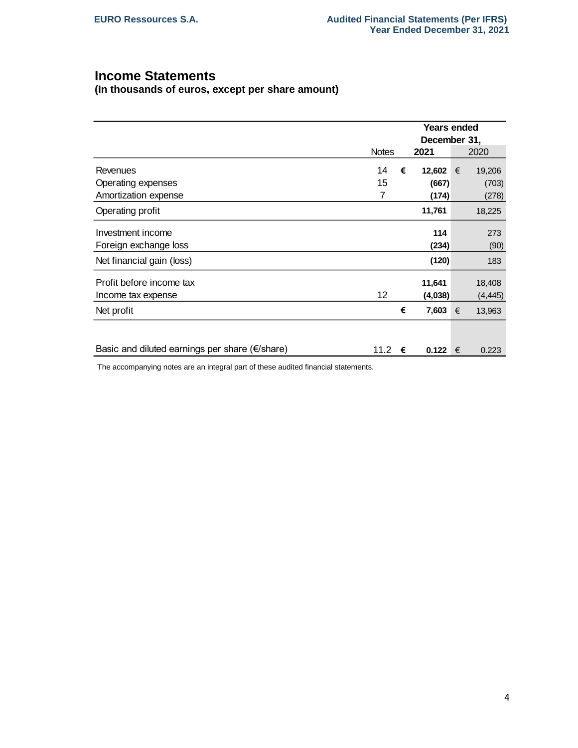# **Income Statements**

**(In thousands of euros, except per share amount)** 

|                                                           |              |   | <b>Years ended</b> |   |          |  |  |  |
|-----------------------------------------------------------|--------------|---|--------------------|---|----------|--|--|--|
|                                                           |              |   | December 31,       |   |          |  |  |  |
|                                                           | <b>Notes</b> |   | 2021               |   | 2020     |  |  |  |
| Revenues                                                  | 14           | € | 12,602 €           |   | 19,206   |  |  |  |
| Operating expenses                                        | 15           |   | (667)              |   | (703)    |  |  |  |
| Amortization expense                                      | 7            |   | (174)              |   | (278)    |  |  |  |
| Operating profit                                          |              |   | 11,761             |   | 18,225   |  |  |  |
| Investment income                                         |              |   | 114                |   | 273      |  |  |  |
| Foreign exchange loss                                     |              |   | (234)              |   | (90)     |  |  |  |
| Net financial gain (loss)                                 |              |   | (120)              |   | 183      |  |  |  |
| Profit before income tax                                  |              |   | 11,641             |   | 18,408   |  |  |  |
| Income tax expense                                        | 12           |   | (4,038)            |   | (4, 445) |  |  |  |
| Net profit                                                |              | € | 7,603 $∈$          |   | 13,963   |  |  |  |
|                                                           |              |   |                    |   |          |  |  |  |
| Basic and diluted earnings per share ( $\epsilon$ /share) | 11.2         | € | 0.122              | € | 0.223    |  |  |  |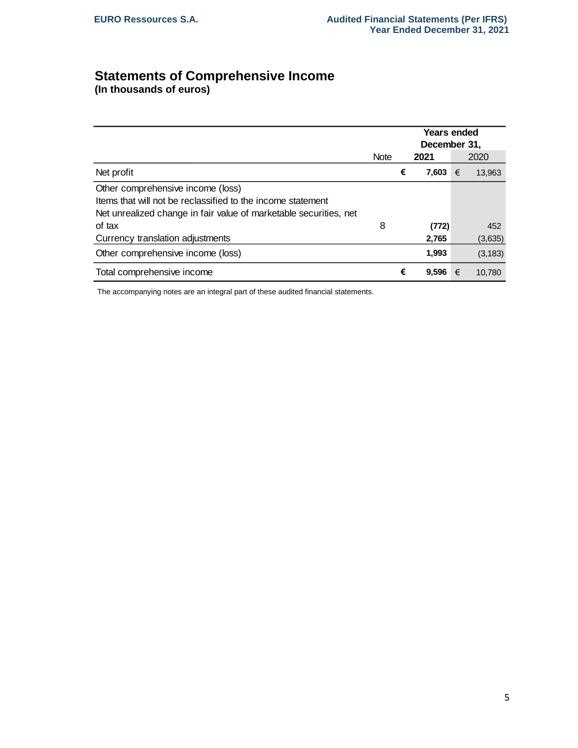# **Statements of Comprehensive Income**

**(In thousands of euros)** 

|                                                                   |             |   |       | <b>Years ended</b><br>December 31, |          |  |  |
|-------------------------------------------------------------------|-------------|---|-------|------------------------------------|----------|--|--|
|                                                                   | <b>Note</b> |   | 2021  |                                    | 2020     |  |  |
| Net profit                                                        |             | € | 7,603 | €                                  | 13,963   |  |  |
| Other comprehensive income (loss)                                 |             |   |       |                                    |          |  |  |
| Items that will not be reclassified to the income statement       |             |   |       |                                    |          |  |  |
| Net unrealized change in fair value of marketable securities, net |             |   |       |                                    |          |  |  |
| of tax                                                            | 8           |   | (772) |                                    | 452      |  |  |
| Currency translation adjustments                                  |             |   | 2,765 |                                    | (3,635)  |  |  |
| Other comprehensive income (loss)                                 |             |   | 1,993 |                                    | (3, 183) |  |  |
| Total comprehensive income                                        |             | € | 9,596 | €                                  | 10,780   |  |  |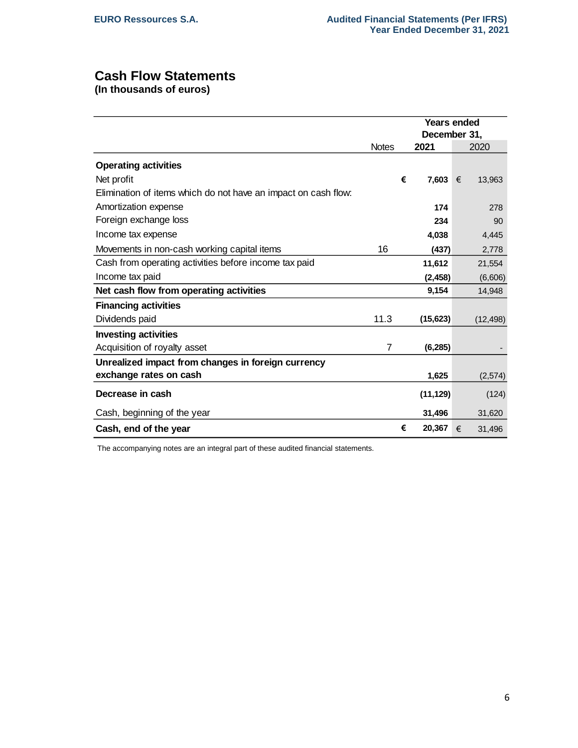# **Cash Flow Statements**

**(In thousands of euros)**

|                                                                |                |   | <b>Years ended</b> |   |           |  |  |  |
|----------------------------------------------------------------|----------------|---|--------------------|---|-----------|--|--|--|
|                                                                |                |   | December 31,       |   |           |  |  |  |
|                                                                | <b>Notes</b>   |   | 2021               |   | 2020      |  |  |  |
| <b>Operating activities</b>                                    |                |   |                    |   |           |  |  |  |
| Net profit                                                     |                | € | 7,603              | € | 13,963    |  |  |  |
| Elimination of items which do not have an impact on cash flow: |                |   |                    |   |           |  |  |  |
| Amortization expense                                           |                |   | 174                |   | 278       |  |  |  |
| Foreign exchange loss                                          |                |   | 234                |   | 90        |  |  |  |
| Income tax expense                                             |                |   | 4,038              |   | 4,445     |  |  |  |
| Movements in non-cash working capital items                    | 16             |   | (437)              |   | 2,778     |  |  |  |
| Cash from operating activities before income tax paid          |                |   | 11,612             |   | 21,554    |  |  |  |
| Income tax paid                                                |                |   | (2, 458)           |   | (6,606)   |  |  |  |
| Net cash flow from operating activities                        |                |   | 9,154              |   | 14,948    |  |  |  |
| <b>Financing activities</b>                                    |                |   |                    |   |           |  |  |  |
| Dividends paid                                                 | 11.3           |   | (15, 623)          |   | (12, 498) |  |  |  |
| <b>Investing activities</b>                                    |                |   |                    |   |           |  |  |  |
| Acquisition of royalty asset                                   | $\overline{7}$ |   | (6,285)            |   |           |  |  |  |
| Unrealized impact from changes in foreign currency             |                |   |                    |   |           |  |  |  |
| exchange rates on cash                                         |                |   | 1,625              |   | (2,574)   |  |  |  |
| Decrease in cash                                               |                |   | (11, 129)          |   | (124)     |  |  |  |
| Cash, beginning of the year                                    |                |   | 31,496             |   | 31,620    |  |  |  |
| Cash, end of the year                                          |                | € | 20,367             | € | 31,496    |  |  |  |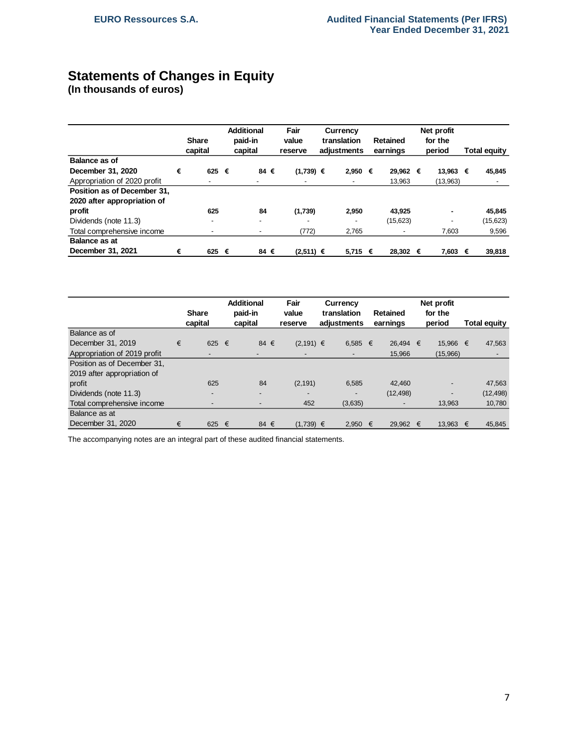# **Statements of Changes in Equity**

**(In thousands of euros)**

|                              |   | <b>Share</b><br>capital  | <b>Additional</b><br>paid-in<br>capital |                          |                          |  | Fair<br>Currency<br>translation<br>value<br>Retained<br>adiustments<br>earnings<br>reserve |   |          |  |          |   |          | Net profit<br>for the<br>period |  | <b>Total equity</b> |  |
|------------------------------|---|--------------------------|-----------------------------------------|--------------------------|--------------------------|--|--------------------------------------------------------------------------------------------|---|----------|--|----------|---|----------|---------------------------------|--|---------------------|--|
| Balance as of                |   |                          |                                         |                          |                          |  |                                                                                            |   |          |  |          |   |          |                                 |  |                     |  |
| December 31, 2020            | € | 625 €                    |                                         | 84 €                     | $(1,739) \in$            |  | 2.950                                                                                      | € | 29.962 € |  | 13.963   | € | 45,845   |                                 |  |                     |  |
| Appropriation of 2020 profit |   | $\overline{\phantom{a}}$ |                                         | -                        | $\overline{\phantom{a}}$ |  | $\overline{\phantom{a}}$                                                                   |   | 13,963   |  | (13,963) |   |          |                                 |  |                     |  |
| Position as of December 31.  |   |                          |                                         |                          |                          |  |                                                                                            |   |          |  |          |   |          |                                 |  |                     |  |
| 2020 after appropriation of  |   |                          |                                         |                          |                          |  |                                                                                            |   |          |  |          |   |          |                                 |  |                     |  |
| profit                       |   | 625                      |                                         | 84                       | (1,739)                  |  | 2,950                                                                                      |   | 43,925   |  |          |   | 45.845   |                                 |  |                     |  |
| Dividends (note 11.3)        |   | $\overline{\phantom{a}}$ |                                         | $\overline{\phantom{0}}$ | $\overline{\phantom{a}}$ |  | $\overline{\phantom{0}}$                                                                   |   | (15,623) |  |          |   | (15,623) |                                 |  |                     |  |
| Total comprehensive income   |   | $\overline{\phantom{a}}$ |                                         | $\overline{\phantom{a}}$ | (772)                    |  | 2,765                                                                                      |   |          |  | 7,603    |   | 9,596    |                                 |  |                     |  |
| <b>Balance as at</b>         |   |                          |                                         |                          |                          |  |                                                                                            |   |          |  |          |   |          |                                 |  |                     |  |
| December 31, 2021            | € | 625 €                    |                                         | 84 €                     | $(2,511) \in$            |  | $5,715$ €                                                                                  |   | 28,302 € |  | 7,603    | € | 39,818   |                                 |  |                     |  |

|                              |   |                          | <b>Additional</b>  | Fair                     | Currency                   |   | Net profit                  |   |                          |    |              |
|------------------------------|---|--------------------------|--------------------|--------------------------|----------------------------|---|-----------------------------|---|--------------------------|----|--------------|
|                              |   | <b>Share</b><br>capital  | paid-in<br>capital | value<br>reserve         | translation<br>adjustments |   | <b>Retained</b><br>earnings |   | for the<br>period        |    | Total equity |
| Balance as of                |   |                          |                    |                          |                            |   |                             |   |                          |    |              |
| December 31, 2019            | € | 625 €                    | 84 €               | $(2,191) \in$            | 6,585                      | € | 26.494                      | € | 15.966 €                 |    | 47,563       |
| Appropriation of 2019 profit |   | $\overline{\phantom{0}}$ | $\overline{a}$     | $\overline{\phantom{0}}$ | $\blacksquare$             |   | 15,966                      |   | (15,966)                 |    |              |
| Position as of December 31,  |   |                          |                    |                          |                            |   |                             |   |                          |    |              |
| 2019 after appropriation of  |   |                          |                    |                          |                            |   |                             |   |                          |    |              |
| profit                       |   | 625                      | 84                 | (2, 191)                 | 6,585                      |   | 42.460                      |   | $\overline{\phantom{0}}$ |    | 47,563       |
| Dividends (note 11.3)        |   | $\overline{\phantom{0}}$ | ٠                  | $\overline{\phantom{0}}$ |                            |   | (12, 498)                   |   |                          |    | (12, 498)    |
| Total comprehensive income   |   | $\overline{\phantom{a}}$ |                    | 452                      | (3,635)                    |   |                             |   | 13,963                   |    | 10,780       |
| Balance as at                |   |                          |                    |                          |                            |   |                             |   |                          |    |              |
| December 31, 2020            | € | 625 €                    | 84 €               | $(1,739) \in$            | 2.950                      | € | 29.962                      | € | 13.963                   | −€ | 45.845       |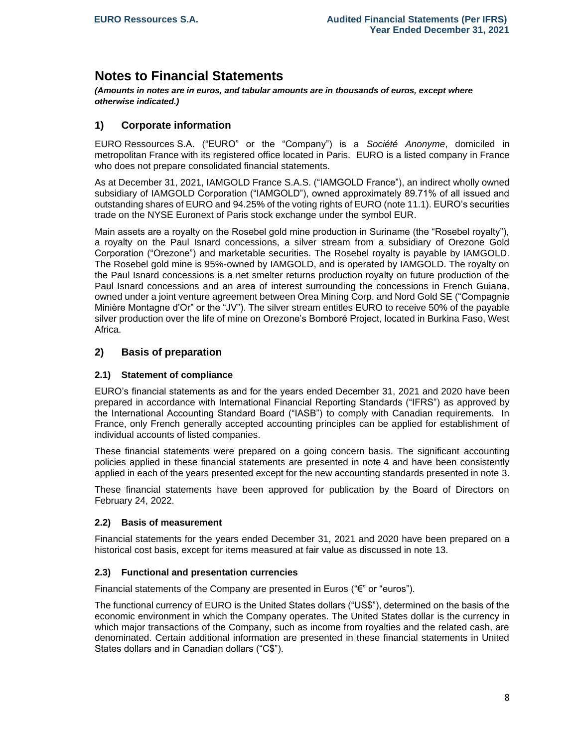# **Notes to Financial Statements**

*(Amounts in notes are in euros, and tabular amounts are in thousands of euros, except where otherwise indicated.)*

# **1) Corporate information**

EURO Ressources S.A. ("EURO" or the "Company") is a *Société Anonyme*, domiciled in metropolitan France with its registered office located in Paris. EURO is a listed company in France who does not prepare consolidated financial statements.

As at December 31, 2021, IAMGOLD France S.A.S. ("IAMGOLD France"), an indirect wholly owned subsidiary of IAMGOLD Corporation ("IAMGOLD"), owned approximately 89.71% of all issued and outstanding shares of EURO and 94.25% of the voting rights of EURO (note 11.1). EURO's securities trade on the NYSE Euronext of Paris stock exchange under the symbol EUR.

Main assets are a royalty on the Rosebel gold mine production in Suriname (the "Rosebel royalty"), a royalty on the Paul Isnard concessions, a silver stream from a subsidiary of Orezone Gold Corporation ("Orezone") and marketable securities. The Rosebel royalty is payable by IAMGOLD. The Rosebel gold mine is 95%-owned by IAMGOLD, and is operated by IAMGOLD. The royalty on the Paul Isnard concessions is a net smelter returns production royalty on future production of the Paul Isnard concessions and an area of interest surrounding the concessions in French Guiana, owned under a joint venture agreement between Orea Mining Corp. and Nord Gold SE ("Compagnie Minière Montagne d'Or" or the "JV"). The silver stream entitles EURO to receive 50% of the payable silver production over the life of mine on Orezone's Bomboré Project, located in Burkina Faso, West Africa.

# **2) Basis of preparation**

# **2.1) Statement of compliance**

EURO's financial statements as and for the years ended December 31, 2021 and 2020 have been prepared in accordance with International Financial Reporting Standards ("IFRS") as approved by the International Accounting Standard Board ("IASB") to comply with Canadian requirements. In France, only French generally accepted accounting principles can be applied for establishment of individual accounts of listed companies.

These financial statements were prepared on a going concern basis. The significant accounting policies applied in these financial statements are presented in note 4 and have been consistently applied in each of the years presented except for the new accounting standards presented in note 3.

These financial statements have been approved for publication by the Board of Directors on February 24, 2022.

# **2.2) Basis of measurement**

Financial statements for the years ended December 31, 2021 and 2020 have been prepared on a historical cost basis, except for items measured at fair value as discussed in note 13.

#### **2.3) Functional and presentation currencies**

Financial statements of the Company are presented in Euros ("€" or "euros").

The functional currency of EURO is the United States dollars ("US\$"), determined on the basis of the economic environment in which the Company operates. The United States dollar is the currency in which major transactions of the Company, such as income from royalties and the related cash, are denominated. Certain additional information are presented in these financial statements in United States dollars and in Canadian dollars ("C\$").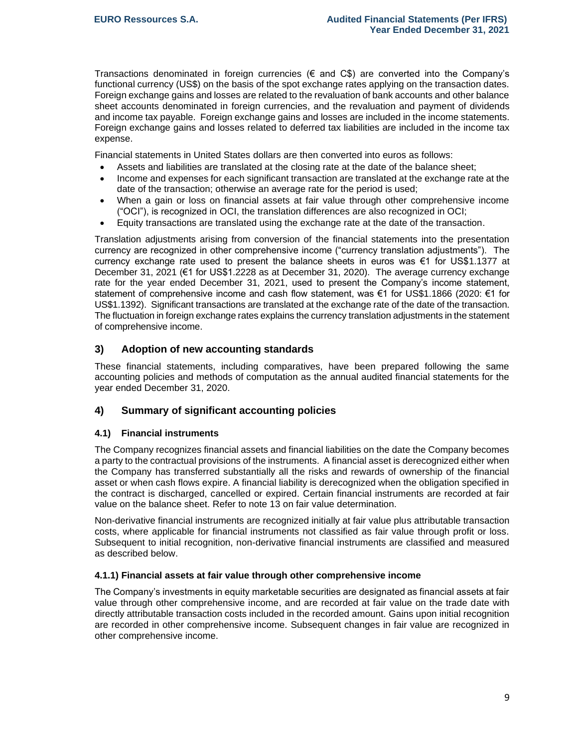Transactions denominated in foreign currencies ( $\epsilon$  and  $C\$ ) are converted into the Company's functional currency (US\$) on the basis of the spot exchange rates applying on the transaction dates. Foreign exchange gains and losses are related to the revaluation of bank accounts and other balance sheet accounts denominated in foreign currencies, and the revaluation and payment of dividends and income tax payable. Foreign exchange gains and losses are included in the income statements. Foreign exchange gains and losses related to deferred tax liabilities are included in the income tax expense.

Financial statements in United States dollars are then converted into euros as follows:

- Assets and liabilities are translated at the closing rate at the date of the balance sheet;
- Income and expenses for each significant transaction are translated at the exchange rate at the date of the transaction; otherwise an average rate for the period is used;
- When a gain or loss on financial assets at fair value through other comprehensive income ("OCI"), is recognized in OCI, the translation differences are also recognized in OCI;
- Equity transactions are translated using the exchange rate at the date of the transaction.

Translation adjustments arising from conversion of the financial statements into the presentation currency are recognized in other comprehensive income ("currency translation adjustments"). The currency exchange rate used to present the balance sheets in euros was €1 for US\$1.1377 at December 31, 2021 (€1 for US\$1.2228 as at December 31, 2020). The average currency exchange rate for the year ended December 31, 2021, used to present the Company's income statement, statement of comprehensive income and cash flow statement, was €1 for US\$1.1866 (2020: €1 for US\$1.1392). Significant transactions are translated at the exchange rate of the date of the transaction. The fluctuation in foreign exchange rates explains the currency translation adjustments in the statement of comprehensive income.

# **3) Adoption of new accounting standards**

These financial statements, including comparatives, have been prepared following the same accounting policies and methods of computation as the annual audited financial statements for the year ended December 31, 2020.

# **4) Summary of significant accounting policies**

# **4.1) Financial instruments**

The Company recognizes financial assets and financial liabilities on the date the Company becomes a party to the contractual provisions of the instruments. A financial asset is derecognized either when the Company has transferred substantially all the risks and rewards of ownership of the financial asset or when cash flows expire. A financial liability is derecognized when the obligation specified in the contract is discharged, cancelled or expired. Certain financial instruments are recorded at fair value on the balance sheet. Refer to note 13 on fair value determination.

Non-derivative financial instruments are recognized initially at fair value plus attributable transaction costs, where applicable for financial instruments not classified as fair value through profit or loss. Subsequent to initial recognition, non-derivative financial instruments are classified and measured as described below.

#### **4.1.1) Financial assets at fair value through other comprehensive income**

The Company's investments in equity marketable securities are designated as financial assets at fair value through other comprehensive income, and are recorded at fair value on the trade date with directly attributable transaction costs included in the recorded amount. Gains upon initial recognition are recorded in other comprehensive income. Subsequent changes in fair value are recognized in other comprehensive income.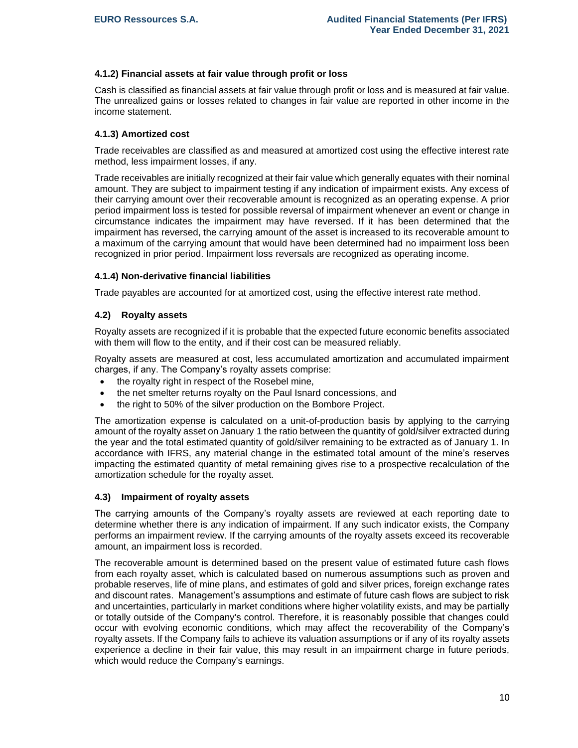#### **4.1.2) Financial assets at fair value through profit or loss**

Cash is classified as financial assets at fair value through profit or loss and is measured at fair value. The unrealized gains or losses related to changes in fair value are reported in other income in the income statement.

### **4.1.3) Amortized cost**

Trade receivables are classified as and measured at amortized cost using the effective interest rate method, less impairment losses, if any.

Trade receivables are initially recognized at their fair value which generally equates with their nominal amount. They are subject to impairment testing if any indication of impairment exists. Any excess of their carrying amount over their recoverable amount is recognized as an operating expense. A prior period impairment loss is tested for possible reversal of impairment whenever an event or change in circumstance indicates the impairment may have reversed. If it has been determined that the impairment has reversed, the carrying amount of the asset is increased to its recoverable amount to a maximum of the carrying amount that would have been determined had no impairment loss been recognized in prior period. Impairment loss reversals are recognized as operating income.

## **4.1.4) Non-derivative financial liabilities**

Trade payables are accounted for at amortized cost, using the effective interest rate method.

## **4.2) Royalty assets**

Royalty assets are recognized if it is probable that the expected future economic benefits associated with them will flow to the entity, and if their cost can be measured reliably.

Royalty assets are measured at cost, less accumulated amortization and accumulated impairment charges, if any. The Company's royalty assets comprise:

- the rovalty right in respect of the Rosebel mine.
- the net smelter returns royalty on the Paul Isnard concessions, and
- the right to 50% of the silver production on the Bombore Project.

The amortization expense is calculated on a unit-of-production basis by applying to the carrying amount of the royalty asset on January 1 the ratio between the quantity of gold/silver extracted during the year and the total estimated quantity of gold/silver remaining to be extracted as of January 1. In accordance with IFRS, any material change in the estimated total amount of the mine's reserves impacting the estimated quantity of metal remaining gives rise to a prospective recalculation of the amortization schedule for the royalty asset.

#### **4.3) Impairment of royalty assets**

The carrying amounts of the Company's royalty assets are reviewed at each reporting date to determine whether there is any indication of impairment. If any such indicator exists, the Company performs an impairment review. If the carrying amounts of the royalty assets exceed its recoverable amount, an impairment loss is recorded.

The recoverable amount is determined based on the present value of estimated future cash flows from each royalty asset, which is calculated based on numerous assumptions such as proven and probable reserves, life of mine plans, and estimates of gold and silver prices, foreign exchange rates and discount rates. Management's assumptions and estimate of future cash flows are subject to risk and uncertainties, particularly in market conditions where higher volatility exists, and may be partially or totally outside of the Company's control. Therefore, it is reasonably possible that changes could occur with evolving economic conditions, which may affect the recoverability of the Company's royalty assets. If the Company fails to achieve its valuation assumptions or if any of its royalty assets experience a decline in their fair value, this may result in an impairment charge in future periods, which would reduce the Company's earnings.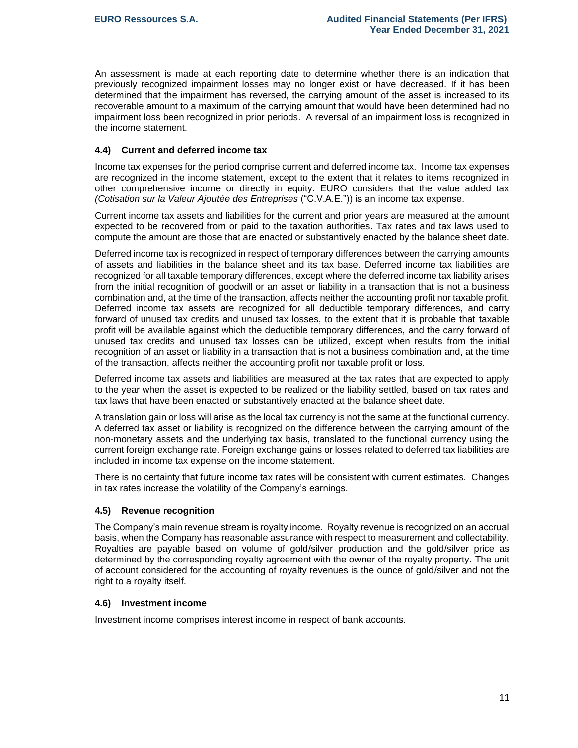An assessment is made at each reporting date to determine whether there is an indication that previously recognized impairment losses may no longer exist or have decreased. If it has been determined that the impairment has reversed, the carrying amount of the asset is increased to its recoverable amount to a maximum of the carrying amount that would have been determined had no impairment loss been recognized in prior periods. A reversal of an impairment loss is recognized in the income statement.

# **4.4) Current and deferred income tax**

Income tax expenses for the period comprise current and deferred income tax. Income tax expenses are recognized in the income statement, except to the extent that it relates to items recognized in other comprehensive income or directly in equity. EURO considers that the value added tax *(Cotisation sur la Valeur Ajoutée des Entreprises* ("C.V.A.E.")) is an income tax expense.

Current income tax assets and liabilities for the current and prior years are measured at the amount expected to be recovered from or paid to the taxation authorities. Tax rates and tax laws used to compute the amount are those that are enacted or substantively enacted by the balance sheet date.

Deferred income tax is recognized in respect of temporary differences between the carrying amounts of assets and liabilities in the balance sheet and its tax base. Deferred income tax liabilities are recognized for all taxable temporary differences, except where the deferred income tax liability arises from the initial recognition of goodwill or an asset or liability in a transaction that is not a business combination and, at the time of the transaction, affects neither the accounting profit nor taxable profit. Deferred income tax assets are recognized for all deductible temporary differences, and carry forward of unused tax credits and unused tax losses, to the extent that it is probable that taxable profit will be available against which the deductible temporary differences, and the carry forward of unused tax credits and unused tax losses can be utilized, except when results from the initial recognition of an asset or liability in a transaction that is not a business combination and, at the time of the transaction, affects neither the accounting profit nor taxable profit or loss.

Deferred income tax assets and liabilities are measured at the tax rates that are expected to apply to the year when the asset is expected to be realized or the liability settled, based on tax rates and tax laws that have been enacted or substantively enacted at the balance sheet date.

A translation gain or loss will arise as the local tax currency is not the same at the functional currency. A deferred tax asset or liability is recognized on the difference between the carrying amount of the non-monetary assets and the underlying tax basis, translated to the functional currency using the current foreign exchange rate. Foreign exchange gains or losses related to deferred tax liabilities are included in income tax expense on the income statement.

There is no certainty that future income tax rates will be consistent with current estimates. Changes in tax rates increase the volatility of the Company's earnings.

#### **4.5) Revenue recognition**

The Company's main revenue stream is royalty income. Royalty revenue is recognized on an accrual basis, when the Company has reasonable assurance with respect to measurement and collectability. Royalties are payable based on volume of gold/silver production and the gold/silver price as determined by the corresponding royalty agreement with the owner of the royalty property. The unit of account considered for the accounting of royalty revenues is the ounce of gold/silver and not the right to a royalty itself.

#### **4.6) Investment income**

Investment income comprises interest income in respect of bank accounts.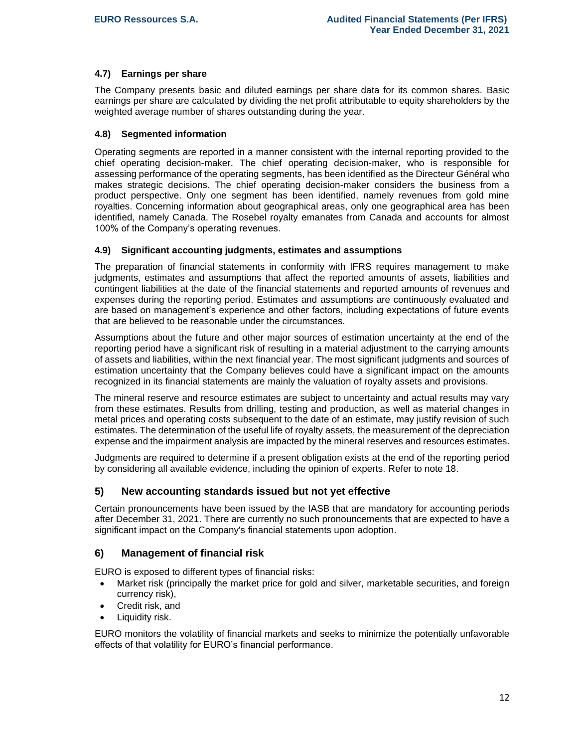# **4.7) Earnings per share**

The Company presents basic and diluted earnings per share data for its common shares. Basic earnings per share are calculated by dividing the net profit attributable to equity shareholders by the weighted average number of shares outstanding during the year.

# **4.8) Segmented information**

Operating segments are reported in a manner consistent with the internal reporting provided to the chief operating decision-maker. The chief operating decision-maker, who is responsible for assessing performance of the operating segments, has been identified as the Directeur Général who makes strategic decisions. The chief operating decision-maker considers the business from a product perspective. Only one segment has been identified, namely revenues from gold mine royalties. Concerning information about geographical areas, only one geographical area has been identified, namely Canada. The Rosebel royalty emanates from Canada and accounts for almost 100% of the Company's operating revenues.

## **4.9) Significant accounting judgments, estimates and assumptions**

The preparation of financial statements in conformity with IFRS requires management to make judgments, estimates and assumptions that affect the reported amounts of assets, liabilities and contingent liabilities at the date of the financial statements and reported amounts of revenues and expenses during the reporting period. Estimates and assumptions are continuously evaluated and are based on management's experience and other factors, including expectations of future events that are believed to be reasonable under the circumstances.

Assumptions about the future and other major sources of estimation uncertainty at the end of the reporting period have a significant risk of resulting in a material adjustment to the carrying amounts of assets and liabilities, within the next financial year. The most significant judgments and sources of estimation uncertainty that the Company believes could have a significant impact on the amounts recognized in its financial statements are mainly the valuation of royalty assets and provisions.

The mineral reserve and resource estimates are subject to uncertainty and actual results may vary from these estimates. Results from drilling, testing and production, as well as material changes in metal prices and operating costs subsequent to the date of an estimate, may justify revision of such estimates. The determination of the useful life of royalty assets, the measurement of the depreciation expense and the impairment analysis are impacted by the mineral reserves and resources estimates.

Judgments are required to determine if a present obligation exists at the end of the reporting period by considering all available evidence, including the opinion of experts. Refer to note 18.

# **5) New accounting standards issued but not yet effective**

Certain pronouncements have been issued by the IASB that are mandatory for accounting periods after December 31, 2021. There are currently no such pronouncements that are expected to have a significant impact on the Company's financial statements upon adoption.

# **6) Management of financial risk**

EURO is exposed to different types of financial risks:

- Market risk (principally the market price for gold and silver, marketable securities, and foreign currency risk),
- Credit risk, and
- Liquidity risk.

EURO monitors the volatility of financial markets and seeks to minimize the potentially unfavorable effects of that volatility for EURO's financial performance.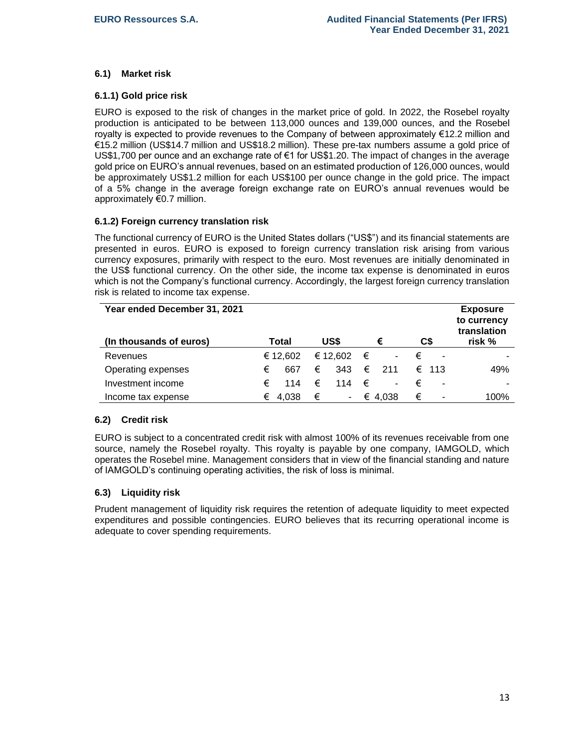# **6.1) Market risk**

## **6.1.1) Gold price risk**

EURO is exposed to the risk of changes in the market price of gold. In 2022, the Rosebel royalty production is anticipated to be between 113,000 ounces and 139,000 ounces, and the Rosebel royalty is expected to provide revenues to the Company of between approximately €12.2 million and €15.2 million (US\$14.7 million and US\$18.2 million). These pre-tax numbers assume a gold price of US\$1,700 per ounce and an exchange rate of €1 for US\$1.20. The impact of changes in the average gold price on EURO's annual revenues, based on an estimated production of 126,000 ounces, would be approximately US\$1.2 million for each US\$100 per ounce change in the gold price. The impact of a 5% change in the average foreign exchange rate on EURO's annual revenues would be approximately €0.7 million.

## **6.1.2) Foreign currency translation risk**

The functional currency of EURO is the United States dollars ("US\$") and its financial statements are presented in euros. EURO is exposed to foreign currency translation risk arising from various currency exposures, primarily with respect to the euro. Most revenues are initially denominated in the US\$ functional currency. On the other side, the income tax expense is denominated in euros which is not the Company's functional currency. Accordingly, the largest foreign currency translation risk is related to income tax expense.

| Year ended December 31, 2021<br>(In thousands of euros) | Total      | US\$     | €                             | C\$                 | <b>Exposure</b><br>to currency<br>translation<br>risk % |
|---------------------------------------------------------|------------|----------|-------------------------------|---------------------|---------------------------------------------------------|
|                                                         |            |          |                               |                     |                                                         |
| Revenues                                                | € 12.602   | € 12.602 | €<br>$\overline{\phantom{a}}$ | €                   |                                                         |
| Operating expenses                                      | €<br>667   | €<br>343 | €<br>211                      | $\epsilon$ 113      | 49%                                                     |
| Investment income                                       | €<br>114   | €<br>114 | €<br>۰                        | €<br>$\blacksquare$ | -                                                       |
| Income tax expense                                      | 4.038<br>€ | €<br>۰.  | € 4.038                       | €                   | 100%                                                    |

#### **6.2) Credit risk**

EURO is subject to a concentrated credit risk with almost 100% of its revenues receivable from one source, namely the Rosebel royalty. This royalty is payable by one company, IAMGOLD, which operates the Rosebel mine. Management considers that in view of the financial standing and nature of IAMGOLD's continuing operating activities, the risk of loss is minimal.

#### **6.3) Liquidity risk**

Prudent management of liquidity risk requires the retention of adequate liquidity to meet expected expenditures and possible contingencies. EURO believes that its recurring operational income is adequate to cover spending requirements.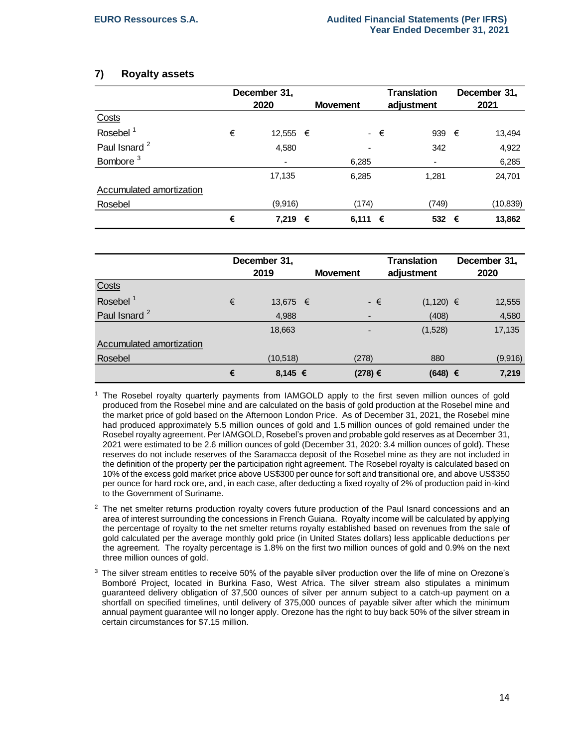# **7) Royalty assets**

|                          | December 31, |                          |  |                 |             | <b>Translation</b> | December 31, |
|--------------------------|--------------|--------------------------|--|-----------------|-------------|--------------------|--------------|
|                          |              | 2020                     |  | <b>Movement</b> |             | adjustment         | 2021         |
| Costs                    |              |                          |  |                 |             |                    |              |
| Rosebel <sup>1</sup>     | €            | 12,555 €                 |  |                 | $ \epsilon$ | 939 $\epsilon$     | 13,494       |
| Paul Isnard <sup>2</sup> |              | 4,580                    |  |                 |             | 342                | 4,922        |
| Bombore <sup>3</sup>     |              | $\overline{\phantom{a}}$ |  | 6,285           |             | ٠                  | 6,285        |
|                          |              | 17,135                   |  | 6,285           |             | 1,281              | 24,701       |
| Accumulated amortization |              |                          |  |                 |             |                    |              |
| Rosebel                  |              | (9,916)                  |  | (174)           |             | (749)              | (10, 839)    |
|                          | €            | 7,219 €                  |  | 6,111           | €           | 532 €              | 13,862       |

|                          |   | December 31,<br>2019 | <b>Movement</b> | <b>Translation</b><br>adjustment | December 31,<br>2020 |
|--------------------------|---|----------------------|-----------------|----------------------------------|----------------------|
| Costs                    |   |                      |                 |                                  |                      |
| Rosebel <sup>1</sup>     | € | 13,675 €             | - €             | $(1,120) \in$                    | 12,555               |
| Paul Isnard <sup>2</sup> |   | 4,988                |                 | (408)                            | 4,580                |
|                          |   | 18,663               |                 | (1,528)                          | 17,135               |
| Accumulated amortization |   |                      |                 |                                  |                      |
| Rosebel                  |   | (10, 518)            | (278)           | 880                              | (9,916)              |
|                          | € | 8,145 €              | (278) €         | $(648) \in$                      | 7,219                |

<sup>1</sup> The Rosebel royalty quarterly payments from IAMGOLD apply to the first seven million ounces of gold produced from the Rosebel mine and are calculated on the basis of gold production at the Rosebel mine and the market price of gold based on the Afternoon London Price. As of December 31, 2021, the Rosebel mine had produced approximately 5.5 million ounces of gold and 1.5 million ounces of gold remained under the Rosebel royalty agreement. Per IAMGOLD, Rosebel's proven and probable gold reserves as at December 31, 2021 were estimated to be 2.6 million ounces of gold (December 31, 2020: 3.4 million ounces of gold). These reserves do not include reserves of the Saramacca deposit of the Rosebel mine as they are not included in the definition of the property per the participation right agreement. The Rosebel royalty is calculated based on 10% of the excess gold market price above US\$300 per ounce for soft and transitional ore, and above US\$350 per ounce for hard rock ore, and, in each case, after deducting a fixed royalty of 2% of production paid in-kind to the Government of Suriname.

- $2$  The net smelter returns production royalty covers future production of the Paul Isnard concessions and an area of interest surrounding the concessions in French Guiana. Royalty income will be calculated by applying the percentage of royalty to the net smelter returns royalty established based on revenues from the sale of gold calculated per the average monthly gold price (in United States dollars) less applicable deductions per the agreement. The royalty percentage is 1.8% on the first two million ounces of gold and 0.9% on the next three million ounces of gold.
- <sup>3</sup> The silver stream entitles to receive 50% of the payable silver production over the life of mine on Orezone's Bomboré Project, located in Burkina Faso, West Africa. The silver stream also stipulates a minimum guaranteed delivery obligation of 37,500 ounces of silver per annum subject to a catch-up payment on a shortfall on specified timelines, until delivery of 375,000 ounces of payable silver after which the minimum annual payment guarantee will no longer apply. Orezone has the right to buy back 50% of the silver stream in certain circumstances for \$7.15 million.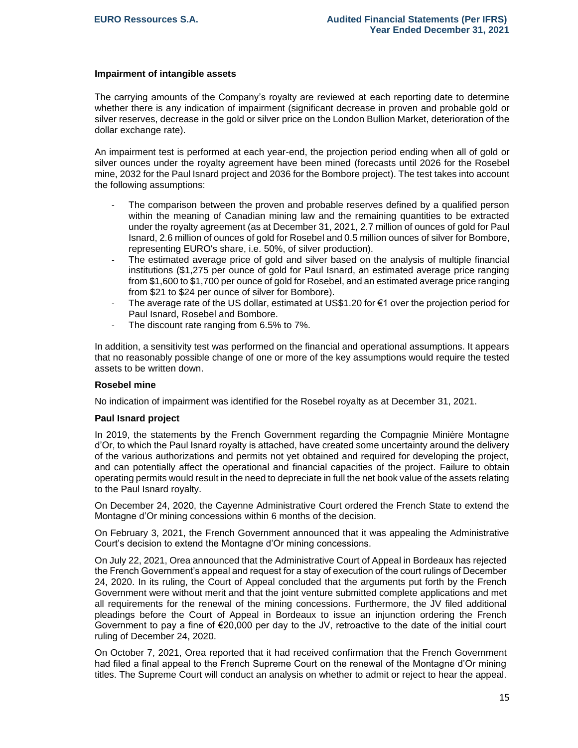#### **Impairment of intangible assets**

The carrying amounts of the Company's royalty are reviewed at each reporting date to determine whether there is any indication of impairment (significant decrease in proven and probable gold or silver reserves, decrease in the gold or silver price on the London Bullion Market, deterioration of the dollar exchange rate).

An impairment test is performed at each year-end, the projection period ending when all of gold or silver ounces under the royalty agreement have been mined (forecasts until 2026 for the Rosebel mine, 2032 for the Paul Isnard project and 2036 for the Bombore project). The test takes into account the following assumptions:

- The comparison between the proven and probable reserves defined by a qualified person within the meaning of Canadian mining law and the remaining quantities to be extracted under the royalty agreement (as at December 31, 2021, 2.7 million of ounces of gold for Paul Isnard, 2.6 million of ounces of gold for Rosebel and 0.5 million ounces of silver for Bombore, representing EURO's share, i.e. 50%, of silver production).
- The estimated average price of gold and silver based on the analysis of multiple financial institutions (\$1,275 per ounce of gold for Paul Isnard, an estimated average price ranging from \$1,600 to \$1,700 per ounce of gold for Rosebel, and an estimated average price ranging from \$21 to \$24 per ounce of silver for Bombore).
- The average rate of the US dollar, estimated at US\$1.20 for €1 over the projection period for Paul Isnard, Rosebel and Bombore.
- The discount rate ranging from 6.5% to 7%.

In addition, a sensitivity test was performed on the financial and operational assumptions. It appears that no reasonably possible change of one or more of the key assumptions would require the tested assets to be written down.

#### **Rosebel mine**

No indication of impairment was identified for the Rosebel royalty as at December 31, 2021.

#### **Paul Isnard project**

In 2019, the statements by the French Government regarding the Compagnie Minière Montagne d'Or, to which the Paul Isnard royalty is attached, have created some uncertainty around the delivery of the various authorizations and permits not yet obtained and required for developing the project, and can potentially affect the operational and financial capacities of the project. Failure to obtain operating permits would result in the need to depreciate in full the net book value of the assets relating to the Paul Isnard royalty.

On December 24, 2020, the Cayenne Administrative Court ordered the French State to extend the Montagne d'Or mining concessions within 6 months of the decision.

On February 3, 2021, the French Government announced that it was appealing the Administrative Court's decision to extend the Montagne d'Or mining concessions.

On July 22, 2021, Orea announced that the Administrative Court of Appeal in Bordeaux has rejected the French Government's appeal and request for a stay of execution of the court rulings of December 24, 2020. In its ruling, the Court of Appeal concluded that the arguments put forth by the French Government were without merit and that the joint venture submitted complete applications and met all requirements for the renewal of the mining concessions. Furthermore, the JV filed additional pleadings before the Court of Appeal in Bordeaux to issue an injunction ordering the French Government to pay a fine of  $\epsilon$ 20,000 per day to the JV, retroactive to the date of the initial court ruling of December 24, 2020.

On October 7, 2021, Orea reported that it had received confirmation that the French Government had filed a final appeal to the French Supreme Court on the renewal of the Montagne d'Or mining titles. The Supreme Court will conduct an analysis on whether to admit or reject to hear the appeal.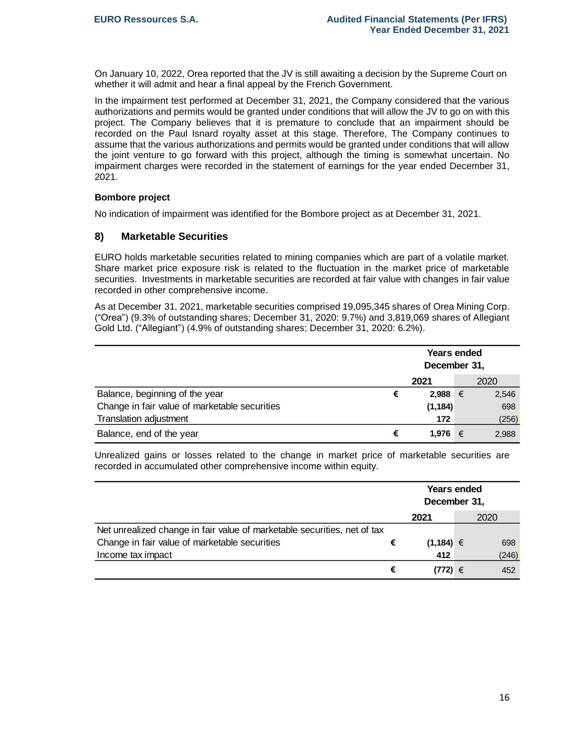On January 10, 2022, Orea reported that the JV is still awaiting a decision by the Supreme Court on whether it will admit and hear a final appeal by the French Government.

In the impairment test performed at December 31, 2021, the Company considered that the various authorizations and permits would be granted under conditions that will allow the JV to go on with this project. The Company believes that it is premature to conclude that an impairment should be recorded on the Paul Isnard royalty asset at this stage. Therefore, The Company continues to assume that the various authorizations and permits would be granted under conditions that will allow the joint venture to go forward with this project, although the timing is somewhat uncertain. No impairment charges were recorded in the statement of earnings for the year ended December 31, 2021.

## **Bombore project**

No indication of impairment was identified for the Bombore project as at December 31, 2021.

# **8) Marketable Securities**

EURO holds marketable securities related to mining companies which are part of a volatile market. Share market price exposure risk is related to the fluctuation in the market price of marketable securities. Investments in marketable securities are recorded at fair value with changes in fair value recorded in other comprehensive income.

As at December 31, 2021, marketable securities comprised 19,095,345 shares of Orea Mining Corp. ("Orea") (9.3% of outstanding shares; December 31, 2020: 9.7%) and 3,819,069 shares of Allegiant Gold Ltd. ("Allegiant") (4.9% of outstanding shares; December 31, 2020: 6.2%).

|                                               | <b>Years ended</b><br>December 31, |          |      |       |  |  |  |
|-----------------------------------------------|------------------------------------|----------|------|-------|--|--|--|
|                                               |                                    |          | 2020 |       |  |  |  |
| Balance, beginning of the year                | €                                  | 2,988    | €    | 2,546 |  |  |  |
| Change in fair value of marketable securities |                                    | (1, 184) |      | 698   |  |  |  |
| Translation adjustment                        |                                    | 172      |      | (256) |  |  |  |
| Balance, end of the year                      | €                                  | 1.976    | €    | 2,988 |  |  |  |

Unrealized gains or losses related to the change in market price of marketable securities are recorded in accumulated other comprehensive income within equity.

|                                                                          |   | <b>Years ended</b><br>December 31, |       |
|--------------------------------------------------------------------------|---|------------------------------------|-------|
|                                                                          |   | 2021                               | 2020  |
| Net unrealized change in fair value of marketable securities, net of tax |   |                                    |       |
| Change in fair value of marketable securities                            | € | $(1, 184) \in$                     | 698   |
| Income tax impact                                                        |   | 412                                | (246) |
|                                                                          | € | $(772) \in$                        | 452   |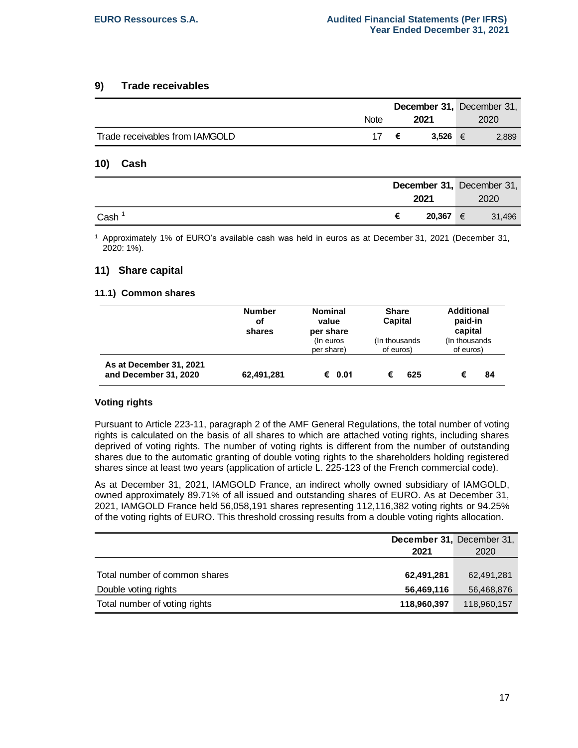## **9) Trade receivables**

|                                |             |   |             | <b>December 31, December 31,</b> |
|--------------------------------|-------------|---|-------------|----------------------------------|
|                                | <b>Note</b> |   | 2021        | 2020                             |
| Trade receivables from IAMGOLD | 17.         | € | 3.526 $\in$ | 2,889                            |

### **10) Cash**

|      |        |   | December 31, December 31, |
|------|--------|---|---------------------------|
|      | 2021   |   | 2020                      |
| Cash | 20,367 | € | 31,496                    |

<sup>1</sup> Approximately 1% of EURO's available cash was held in euros as at December 31, 2021 (December 31, 2020: 1%).

# **11) Share capital**

## **11.1) Common shares**

|                                                  | <b>Number</b><br>οf<br>shares | <b>Nominal</b><br>value<br>per share<br>(In euros<br>per share) | <b>Share</b><br><b>Capital</b><br>(In thousands)<br>of euros) | <b>Additional</b><br>paid-in<br>capital<br>(In thousands)<br>of euros) |
|--------------------------------------------------|-------------------------------|-----------------------------------------------------------------|---------------------------------------------------------------|------------------------------------------------------------------------|
| As at December 31, 2021<br>and December 31, 2020 | 62,491,281                    | € 0.01                                                          | 625<br>€                                                      | 84<br>€                                                                |

#### **Voting rights**

Pursuant to Article 223-11, paragraph 2 of the AMF General Regulations, the total number of voting rights is calculated on the basis of all shares to which are attached voting rights, including shares deprived of voting rights. The number of voting rights is different from the number of outstanding shares due to the automatic granting of double voting rights to the shareholders holding registered shares since at least two years (application of article L. 225-123 of the French commercial code).

As at December 31, 2021, IAMGOLD France, an indirect wholly owned subsidiary of IAMGOLD, owned approximately 89.71% of all issued and outstanding shares of EURO. As at December 31, 2021, IAMGOLD France held 56,058,191 shares representing 112,116,382 voting rights or 94.25% of the voting rights of EURO. This threshold crossing results from a double voting rights allocation.

|                               | December 31, December 31, |             |
|-------------------------------|---------------------------|-------------|
|                               | 2021                      | 2020        |
|                               |                           |             |
| Total number of common shares | 62,491,281                | 62,491,281  |
| Double voting rights          | 56,469,116                | 56,468,876  |
| Total number of voting rights | 118,960,397               | 118,960,157 |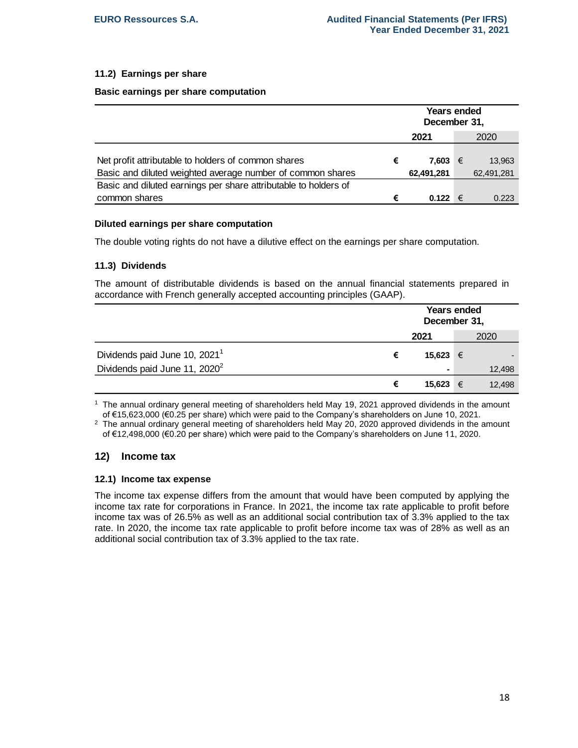# **11.2) Earnings per share**

#### **Basic earnings per share computation**

|                                                                                                                   |      | <b>Years ended</b><br>December 31, |  |                      |
|-------------------------------------------------------------------------------------------------------------------|------|------------------------------------|--|----------------------|
|                                                                                                                   | 2021 |                                    |  | 2020                 |
| Net profit attributable to holders of common shares<br>Basic and diluted weighted average number of common shares | €    | 7.603 €<br>62,491,281              |  | 13.963<br>62,491,281 |
| Basic and diluted earnings per share attributable to holders of                                                   |      |                                    |  |                      |
| common shares                                                                                                     | €    | 0.122 €                            |  | 0.223                |

#### **Diluted earnings per share computation**

The double voting rights do not have a dilutive effect on the earnings per share computation.

#### **11.3) Dividends**

The amount of distributable dividends is based on the annual financial statements prepared in accordance with French generally accepted accounting principles (GAAP).

|                                           |   | <b>Years ended</b><br>December 31, |      |        |
|-------------------------------------------|---|------------------------------------|------|--------|
|                                           |   | 2021                               | 2020 |        |
| Dividends paid June 10, 2021 <sup>1</sup> | € | 15,623 €                           |      |        |
| Dividends paid June 11, 2020 <sup>2</sup> |   |                                    |      | 12,498 |
|                                           | € | 15,623                             | €    | 12,498 |

<sup>1</sup> The annual ordinary general meeting of shareholders held May 19, 2021 approved dividends in the amount of €15,623,000 (€0.25 per share) which were paid to the Company's shareholders on June 10, 2021.

 $2$  The annual ordinary general meeting of shareholders held May 20, 2020 approved dividends in the amount of €12,498,000 (€0.20 per share) which were paid to the Company's shareholders on June 11, 2020.

# **12) Income tax**

#### **12.1) Income tax expense**

The income tax expense differs from the amount that would have been computed by applying the income tax rate for corporations in France. In 2021, the income tax rate applicable to profit before income tax was of 26.5% as well as an additional social contribution tax of 3.3% applied to the tax rate. In 2020, the income tax rate applicable to profit before income tax was of 28% as well as an additional social contribution tax of 3.3% applied to the tax rate.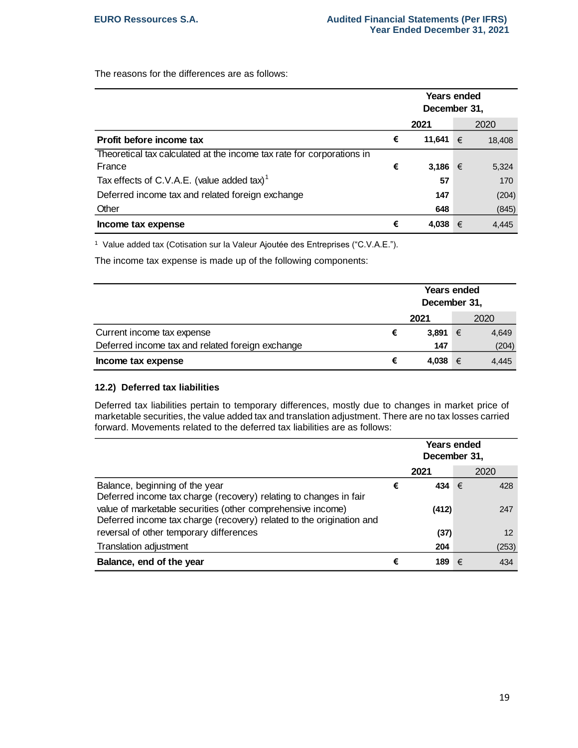The reasons for the differences are as follows:

|                                                                       |   | Years ended<br>December 31, |   |        |
|-----------------------------------------------------------------------|---|-----------------------------|---|--------|
|                                                                       |   | 2021                        |   | 2020   |
| Profit before income tax                                              | € | 11,641                      | € | 18,408 |
| Theoretical tax calculated at the income tax rate for corporations in |   |                             |   |        |
| France                                                                | € | 3,186                       | € | 5,324  |
| Tax effects of C.V.A.E. (value added tax) <sup>1</sup>                |   | 57                          |   | 170    |
| Deferred income tax and related foreign exchange                      |   | 147                         |   | (204)  |
| Other                                                                 |   | 648                         |   | (845)  |
| Income tax expense                                                    | € | 4,038                       | € | 4,445  |

<sup>1</sup> Value added tax (Cotisation sur la Valeur Ajoutée des Entreprises ("C.V.A.E.").

The income tax expense is made up of the following components:

|                                                  |   | <b>Years ended</b><br>December 31, |   |       |
|--------------------------------------------------|---|------------------------------------|---|-------|
|                                                  |   | 2021                               |   | 2020  |
| Current income tax expense                       | € | 3,891                              | € | 4,649 |
| Deferred income tax and related foreign exchange |   | 147                                |   | (204) |
| Income tax expense                               | € | 4,038                              | € | 4,445 |

# **12.2) Deferred tax liabilities**

Deferred tax liabilities pertain to temporary differences, mostly due to changes in market price of marketable securities, the value added tax and translation adjustment. There are no tax losses carried forward. Movements related to the deferred tax liabilities are as follows:

|                                                                                                                                     |   | Years ended<br>December 31, |   |       |
|-------------------------------------------------------------------------------------------------------------------------------------|---|-----------------------------|---|-------|
|                                                                                                                                     |   | 2021                        |   | 2020  |
| Balance, beginning of the year<br>Deferred income tax charge (recovery) relating to changes in fair                                 | € | 434                         | € | 428   |
| value of marketable securities (other comprehensive income)<br>Deferred income tax charge (recovery) related to the origination and |   | (412)                       |   | 247   |
| reversal of other temporary differences                                                                                             |   | (37)                        |   | 12    |
| <b>Translation adjustment</b>                                                                                                       |   | 204                         |   | (253) |
| Balance, end of the year                                                                                                            | € | 189                         | € | 434   |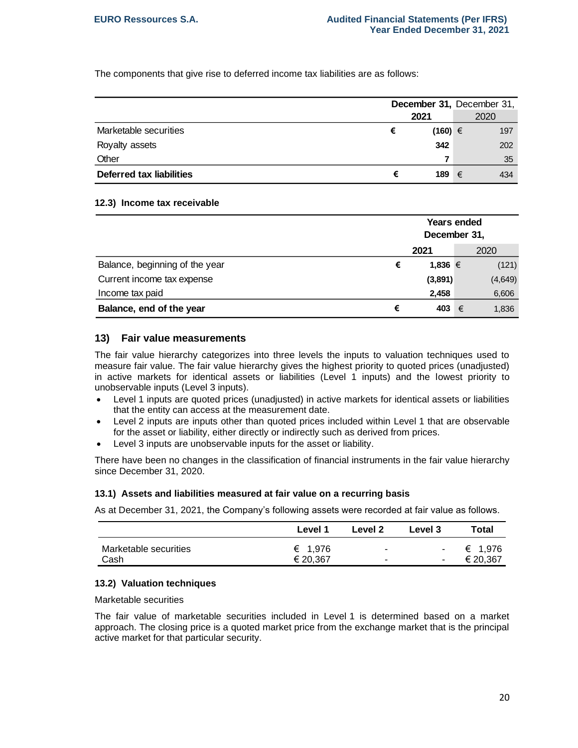The components that give rise to deferred income tax liabilities are as follows:

|                          |   | December 31, December 31, |   |      |
|--------------------------|---|---------------------------|---|------|
|                          |   | 2021                      |   | 2020 |
| Marketable securities    | € | $(160) \in$               |   | 197  |
| Royalty assets           |   | 342                       |   | 202  |
| Other                    |   |                           |   | 35   |
| Deferred tax liabilities | € | 189                       | € | 434  |

#### **12.3) Income tax receivable**

|                                |   | <b>Years ended</b><br>December 31, |   |         |
|--------------------------------|---|------------------------------------|---|---------|
|                                |   | 2021                               |   | 2020    |
| Balance, beginning of the year | € | 1,836 €                            |   | (121)   |
| Current income tax expense     |   | (3,891)                            |   | (4,649) |
| Income tax paid                |   | 2,458                              |   | 6,606   |
| Balance, end of the year       | € | 403                                | € | 1,836   |

## **13) Fair value measurements**

The fair value hierarchy categorizes into three levels the inputs to valuation techniques used to measure fair value. The fair value hierarchy gives the highest priority to quoted prices (unadjusted) in active markets for identical assets or liabilities (Level 1 inputs) and the lowest priority to unobservable inputs (Level 3 inputs).

- Level 1 inputs are quoted prices (unadjusted) in active markets for identical assets or liabilities that the entity can access at the measurement date.
- Level 2 inputs are inputs other than quoted prices included within Level 1 that are observable for the asset or liability, either directly or indirectly such as derived from prices.
- Level 3 inputs are unobservable inputs for the asset or liability.

There have been no changes in the classification of financial instruments in the fair value hierarchy since December 31, 2020.

#### **13.1) Assets and liabilities measured at fair value on a recurring basis**

As at December 31, 2021, the Company's following assets were recorded at fair value as follows.

|                       | Level 1  | Level 2 | Level 3 | Total     |
|-----------------------|----------|---------|---------|-----------|
| Marketable securities | € 1,976  |         |         | - € 1,976 |
| Cash                  | € 20,367 |         | ٠       | € 20,367  |

#### **13.2) Valuation techniques**

Marketable securities

The fair value of marketable securities included in Level 1 is determined based on a market approach. The closing price is a quoted market price from the exchange market that is the principal active market for that particular security.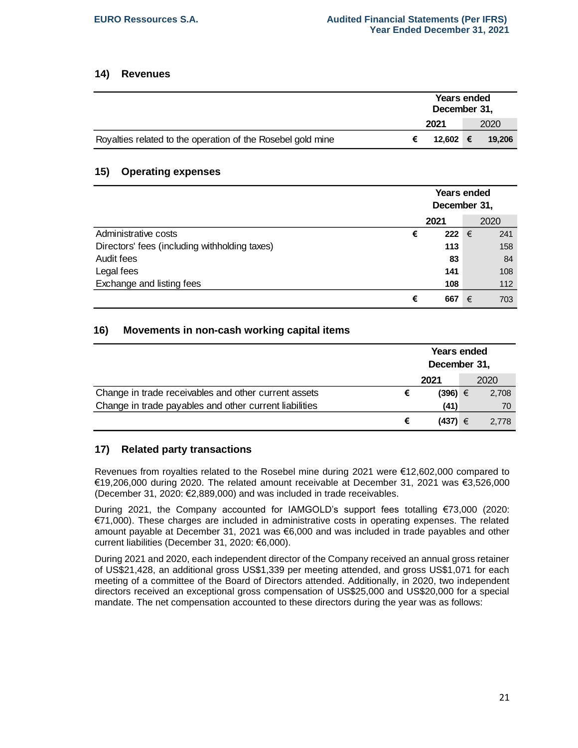# **14) Revenues**

|                                                             | Years ended<br>December 31, |          |  |        |
|-------------------------------------------------------------|-----------------------------|----------|--|--------|
|                                                             |                             | 2021     |  | 2020   |
| Royalties related to the operation of the Rosebel gold mine |                             | 12.602 € |  | 19.206 |

# **15) Operating expenses**

|                                               | <b>Years ended</b><br>December 31, |                |   |      |
|-----------------------------------------------|------------------------------------|----------------|---|------|
|                                               |                                    | 2021           |   | 2020 |
| Administrative costs                          | €                                  | 222 $\epsilon$ |   | 241  |
| Directors' fees (including withholding taxes) |                                    | 113            |   | 158  |
| Audit fees                                    |                                    | 83             |   | 84   |
| Legal fees                                    |                                    | 141            |   | 108  |
| Exchange and listing fees                     |                                    | 108            |   | 112  |
|                                               | €                                  | 667            | € | 703  |

# **16) Movements in non-cash working capital items**

|                                                        |   | Years ended<br>December 31, |  |       |
|--------------------------------------------------------|---|-----------------------------|--|-------|
|                                                        |   | 2021                        |  | 2020  |
| Change in trade receivables and other current assets   | € | $(396) \in$                 |  | 2,708 |
| Change in trade payables and other current liabilities |   | (41)                        |  | 70    |
|                                                        | € | $(437) \in$                 |  | 2.778 |

# **17) Related party transactions**

Revenues from royalties related to the Rosebel mine during 2021 were €12,602,000 compared to €19,206,000 during 2020. The related amount receivable at December 31, 2021 was €3,526,000 (December 31, 2020: €2,889,000) and was included in trade receivables.

During 2021, the Company accounted for IAMGOLD's support fees totalling €73,000 (2020: €71,000). These charges are included in administrative costs in operating expenses. The related amount payable at December 31, 2021 was €6,000 and was included in trade payables and other current liabilities (December 31, 2020: €6,000).

During 2021 and 2020, each independent director of the Company received an annual gross retainer of US\$21,428, an additional gross US\$1,339 per meeting attended, and gross US\$1,071 for each meeting of a committee of the Board of Directors attended. Additionally, in 2020, two independent directors received an exceptional gross compensation of US\$25,000 and US\$20,000 for a special mandate. The net compensation accounted to these directors during the year was as follows: